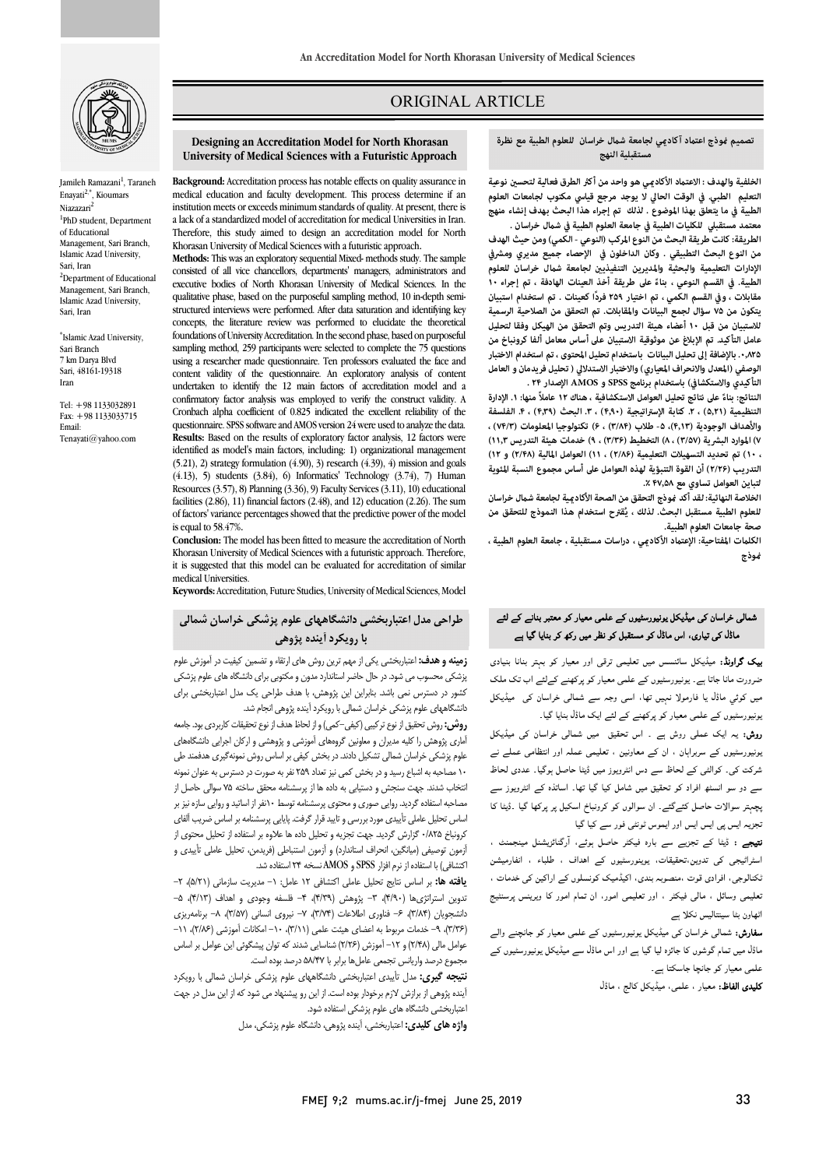

Jamileh Ramazani<sup>1</sup>, Taraneh Enayati2,\*, Kioumars Niazazari<sup>2</sup> <sup>1</sup>PhD student, Department of Educational Management, Sari Branch, Islamic Azad University, Sari, Iran <sup>2</sup>Department of Educational Management, Sari Branch, Islamic Azad University, Sari, Iran

\* Islamic Azad University, Sari Branch 7 km Darya Blvd Sari, 48161-19318 Iran

Tel: +98 1133032891 Fax: +98 1133033715 Email: Tenayati@yahoo.com

# ORIGINAL ARTICLE

#### **University of Medical Sciences with a Futuristic Approach Designing an Accreditation Model for North Khorasan**

i

 medical education and faculty development. This process determine if an institution meets or exceeds minimum standards of quality. At present, there is Therefore, this study aimed to design an accreditation model for North Khorasan University of Medical Sciences with a futuristic approach. **Background:** Accreditation process has notable effects on quality assurance in a lack of a standardized model of accreditation for medical Universities in Iran.

 consisted of all vice chancellors, departments' managers, administrators and executive bodies of North Khorasan University of Medical Sciences. In the structured interviews were performed. After data saturation and identifying key concepts, the literature review was performed to elucidate the theoretical<br>foundations of University Association In the second phase hand on purposeful sampling method, 259 participants were selected to complete the 75 questions content validity of the questionnaire. An exploratory analysis of content undertaken to identify the 12 main factors of accreditation model and a Cronbach alpha coefficient of 0.825 indicated the excellent reliability of the questionnaire. SPSS software and AMOS version 24 were used to analyze the data. identified as model's main factors, including: 1) organizational management (5.21), 2) strategy formulation (4.90), 3) research (4.39), 4) mission and goals Resources (3.57), 8) Planning (3.36), 9) Faculty Services (3.11), 10) educational of factors' variance percentages showed that the predictive power of the model **Methods:** This was an exploratory sequential Mixed- methods study. The sample qualitative phase, based on the purposeful sampling method, 10 in-depth semifoundations of University Accreditation. In the second phase, based on purposeful using a researcher made questionnaire. Ten professors evaluated the face and confirmatory factor analysis was employed to verify the construct validity. A **Results:** Based on the results of exploratory factor analysis, 12 factors were  $(4.13)$ , 5) students  $(3.84)$ , 6) Informatics' Technology  $(3.74)$ , 7) Human facilities (2.86), 11) financial factors (2.48), and 12) education (2.26). The sum is equal to 58.47%.

 Khorasan University of Medical Sciences with a futuristic approach. Therefore, it is suggested that this model can be evaluated for accreditation of similar **Conclusion:** The model has been fitted to measure the accreditation of North medical Universities.

**Keywords:** Accreditation, Future Studies, University of Medical Sciences, Model

## **طراحی مدل اعتباربخشی دانشگاههاي علوم پزشکی خراسان شمالی با رویکرد آینده پژوهی**

ر بهها و حدت، اخبار استان یابی از نهم برین روس سی از سام و تصنین خیبیت در اسورس خبرا<br>پزشکی محسوب می شود. در حال حاضر استاندارد مدون و مکتوبی برای دانشگاه های علوم پزشکی کشور در دسترس نمی باشد. بنابراین این پژوهش، با هدف طراحی یک مدل اعتباربخشی براي دانشگاههاي علوم پزشکی خراسان شمالی با رویکرد آینده پژوهی انجام شد. **زمینه و هدف:** اعتباربخشی یکی از مهم ترین روش هاي ارتقاء و تضمین کیفیت در آموزش علوم

 **روش:**روش تحقیق از نوع ترکیبی (کیفی-کمی) و از لحاظ هدف از نوع تحقیقات کاربردي بود. جامعه <sub>ا</sub>سری پروسس را تیبه سیران و تشویین ترونسی اسورسی و پروسسی و از بان اجرایی مستخدمات<br>علوم پزشکی خراسان شمالی تشکیل دادند. در بخش کیفی بر اساس روش نمونهگیری هدفمند طی 10 مصاحبه به اشباع رسید و در بخش کمی نیز تعداد 259 نفر به صورت در دسترس به عنوان نمونه انتخاب شدند. جهت سنجش و دستیابی به داده ها از پرسشنامه محقق ساخته 75 سوالی حاصل از مصاحبه استفاده گردید. روایی صوري و محتوي پرسشنامه توسط 10نفر از اساتید و روایی سازه نیز بر کرونباخ 0/825 گزارش گردید. جهت تجزیه و تحلیل داده ها علاوه بر استفاده از تحلیل محتوي از آزمون توصیفی (میانگین، انحراف استاندارد) و آزمون استنباطی (فریدمن، تحلیل عاملی تأییدي و اکتشافی) با استفاده از نرم افزار SPSS و AMOS نسخه 24 استفاده شد. آماري پژوهش را کلیه مدیران و معاونین گروههاي آموزشی و پژوهشی و ارکان اجرایی دانشگاههاي اساس تحلیل عاملی تأییدي مورد بررسی و تایید قرار گرفت. پایایی پرسشنامه بر اساس ضریب آلفاي

یافته تعد بر اساس نتایج تحلیل عاملی استنافی ۱۰ عامل. ۱- مدیریت نسرهایی (۱۰/۵۱۰)، ۱-<br>ندوین استراتژیها (۴/۹۰)، ۳- پژوهش (۹/۲۹)، ۴- فلسفه وجودی و اهداف (۹/۱۳)، ۵- دانشجویان (3/84)، -6 فناوري اطلاعات (3/74)، -7 نیروي انسانی (3/57)، -8 برنامهریزي (٣/٣۶)، ٩– خدمات مربوط به اعضای هیئت علمی (٣/١١)، -١- امکانات آموزشی (٢/٨۶)، ١١– عوامل مالی (۲/۴۸) و ۱۲– آموزش (۲/۲۶) شناسایی شدند که توان پیشگوئی این عوامل بر اساس **یافته ها:** بر اساس نتایج تحلیل عاملی اکتشافی 12 عامل: -1 مدیریت سازمانی (5/21)، -2 مجموع درصد واریانس تجمعی عاملها برابر با 58/47 درصد بوده است.

 **نتیجه گیري:** مدل تأییدي اعتباربخشی دانشگاههاي علوم پزشکی خراسان شمالی با رویکرد آینده پژوهی از برازش لازم برخودار بوده است. از این رو پیشنهاد می شود که از این مدل در جهت اعتباربخشی دانشگاه هاي علوم پزشکی استفاده شود.

**واژه هاي کلیدي:** اعتباربخشی، آینده پژوهی، دانشگاه علوم پزشکی، مدل

### **تصميم وذج اعتد آكادي لجامعة شل خراسان للعلوم الطبية مع نظرة مستقبلية النهج**

ص

الخلفية والهدف : الاعتماد الأكاديي هو واحد من أكثر الطرق فعالية لتحسين نوعية<br>المصدر المصدر المستقدمة التحسين المصدر التعليم التعليم المصدر المصدر المصدر المصدر المصدر المصدر المصدر المصدر **الطبية في ما يتعلق بهذا الموضوع . لذلك تم إجراء هذا البحث بهدف إنشاء منهج التعليم الطبي. في الوقت الحالي لا يوجد مرجع قياسي مكتوب لجامعات العلوم** 

 **معتمد مستقبلي للكليات الطبية في جامعة العلوم الطبية في شل خراسان . من النوع البحث التطبيقي . وكان الداخلون في الإحصاء جميع مديري ومشرفي**  الإدارات التعليمية والبحثية والمديرين التنفيذيين لجامعة شمال خراسان للعلوم **مقابلات ، وفي القسم الكمي ، تم اختيار ۲۵۹ ً فردا كعينات . تم استخدام استبيان يتكون من ۷۵ سؤال لجمع البيانات والمقابلات. تم التحقق من الصلاحية الرسمية للاستبيان من قبل ۱۰ أعضاء هيئة التدريس وتم التحقق من الهيكل وفقا لتحليل .۰٫۸۲۵ بالإضافة إلى تحليل البيانات باستخدام تحليل المحتوى ، تم استخدام الاختبار الوصفي (المعدل والانحراف المعياري) والاختبار الاستدلالي ( تحليل فريدمان و العامل التأكيدي والاستكشافي) باستخدام برنامج SPSSو AMOS الإصدار ۲۴ . الطريقة:كانت طريقة البحث من النوع المركب (النو عي - الكمي) ومن حيث الهدف الطبية. في القسم النوعي ، بناء ۱۰ ً على طريقة أخذ العينات الهادفة ، تم إجراء عامل التأكيد. تم الإبلاغ عن موثوقية الاستبيان على أساس معامل ألفا كرونباخ من** 

 **التنظيمية (۵٫۲۱) ، .۲ كتابة الإستراتيجية (۴٫۹۰) ، .۳ البحث (۴٫۳۹) ، .۴ الفلسفة والأهداف الوجودية (۴٫۱۳)، -۵ طلاب (۳/۸۴) ، ۶) تكنولوجيا المعلومات (۷۴/۳) ، ، ۱۰) تم تحديد التسهيلات التعليمية (۲/۸۶) ، ۱۱) العوامل المالية (۲/۴۸) و ۱۲) التدريب (۲/۲۶) أن القوة التنبؤية لهذه العوامل على أساس مجموع النسبة المئوية لتباين العوامل تساوي مع ۴۷٫۵۸ .٪**  النتائج: بناءً على نتائج تحليل العوامل الاستكشافية ، هناك ١٢ عاملاً منها: ١. الإدارة **۷) الموارد البشرية (۳/۵۷) ، ۸) التخطيط (۳/۳۶) ، ۹) خدمات هيئة التدريس ۱۱٫۳)** 

 **ُقترح استخدام هذا النموذج للتحقق من للعلوم الطبية مستقبل البحث. لذلك ، ي صحة جامعات العلوم الطبية. الخلاصة النهائية: لقد أكد وذج التحقق من الصحة الأكادية لجامعة شل خراسان** 

الكلمات المفتاحية: الإعتماد الأكاديي ، دراسات مستقبلية ، جامعة العلوم الطبية ،<br>. **وذج**

# ۔<br>شمالی خراسان کی میڈیکل یونیورسٹیوں کے علمی معیار کو معتبر بنانے کے لئے ڈل ری، اس ڈل ر

**ییک گراونڈ:** میڈیکل سائنسس میں تعلیمی ترقی اور معیار کو بہتر بنانا بنیادی<br>. عزررت میں بہتے ہیں ویررسیوں سے عملی سیار ہو پر چاہے ہے جا سے مساف کے دیکھ<br>میں کوئی ماڈل یا فارمولا نہیں تھا، اسی وجہ سے شمالی خراسان کی ۔میڈیکل سی سی سی سے سے ہم ہے۔<br>بونیورسٹیوں کے علمی معیار کو پرکھنے کے لئے ایک ماڈل بنایا گیا۔ ضرورت مانا جاتا ہے<sub>۔</sub> یونیورسٹیوں کے علمی معیار کو یرکھنے کےلئے اب تک ملک

ر**وش:** یہ ایک عملی روش ہے ۔ اس تحقیق میں شمالی خراسان کی میڈیکل ۔<br>بونیورسٹیوں کے سربراہان ، ان کے معاونین ، تعلیمی عملہ اور انتظامی عملے نے شرکت کی۔ کوالٹی کے لحاظ سے دس انٹرویوز میں ڈیٹا حاصل ہوگیا۔ عددی لحاظ سے دو سو انسٹھ افراد کو تحقیق میں شامل کیا گیا تھا۔ اساتذہ کے انٹرویوز سے پچہتر سوالات حاصل کئےگئے۔ ان سوالوں کو کرونباخ اسکیل پر پرکھا گیا ۔ڈیٹا کا نجزیہ ایس پی ایس ایس اور ایموس ٹونٹی فور سے کیا گیا

**تیجے :** ڈیٹا کے تجزیے سے بارہ فیکٹر حاصل ہوئے، آرگنائزیشنل مینجمنٹ ،<br>. ، اسر، یہ ہی سی سازیں، معیدت ، پریتررسیوں نے مسلمہ سے معاملے کا معاملے کی اسرائیس<br>نکتالوجی، افرادی قوت ،منصوبہ بندی، اکیڈمیک کونسلوں کے اراکین کی خدمات ، و ، ، اور ار، ان م ار و اٹھاون بٹا سینتالیس نکلا ہے اسٹراٹیجی کی تدوین،تحقیقات، یوینورسٹیوں کے اہداف ، طلباء ، انفارمیشن

**سفارش:** شمالی خراسان کی میڈیکل یونیورسٹیوں کے علمی معیار کو جانچنے والے ماڈل میں تمام گوشوں کا جائزہ لیا گیا ہے اور اس ماڈل سے میڈیکل یونیورسٹیوں کے علمی معیار کو جانچا جاسکتا ہے۔

**کلیدی الفاظ:** معیار ، علمی، میڈیکل کالج ، ماڈل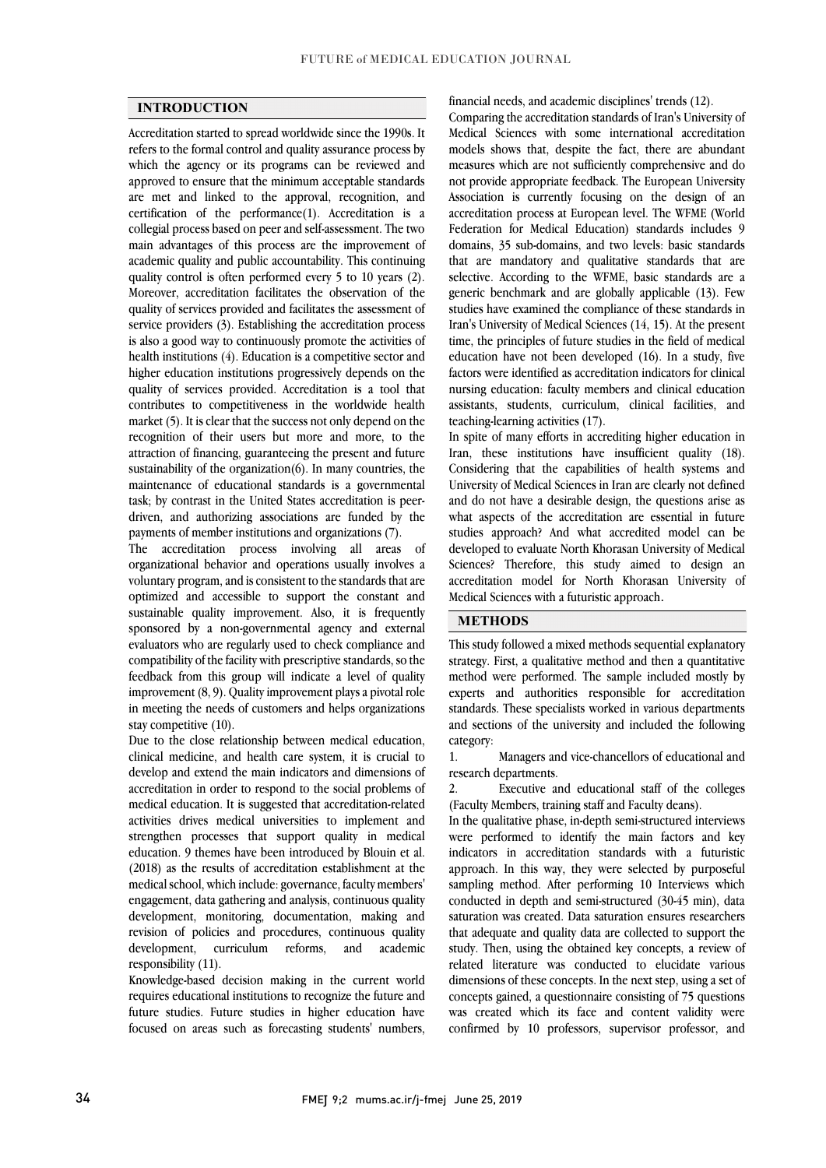## **INTRODUCTION**

 Accreditation started to spread worldwide since the 1990s. It refers to the formal control and quality assurance process by which the agency or its programs can be reviewed and approved to ensure that the minimum acceptable standards certification of the performance(1). Accreditation is a collegial process based on peer and self-assessment. The two main advantages of this process are the improvement of quality control is often performed every 5 to 10 years (2). Moreover, accreditation facilitates the observation of the quality of services provided and facilitates the assessment of service providers (3). Establishing the accreditation process health institutions (4). Education is a competitive sector and higher education institutions progressively depends on the quality of services provided. Accreditation is a tool that contributes to competitiveness in the worldwide health recognition of their users but more and more, to the attraction of financing, guaranteeing the present and future sustainability of the organization(6). In many countries, the maintenance of educational standards is a governmental task; by contrast in the United States accreditation is peerare met and linked to the approval, recognition, and academic quality and public accountability. This continuing is also a good way to continuously promote the activities of market (5). It is clear that the success not only depend on the driven, and authorizing associations are funded by the payments of member institutions and organizations (7).

 The accreditation process involving all areas of organizational behavior and operations usually involves a optimized and accessible to support the constant and sustainable quality improvement. Also, it is frequently sponsored by a non-governmental agency and external evaluators who are regularly used to check compliance and feedback from this group will indicate a level of quality improvement (8, 9). Quality improvement plays a pivotal role in meeting the needs of customers and helps organizations voluntary program, and is consistent to the standards that are compatibility of the facility with prescriptive standards, so the stay competitive (10).

 clinical medicine, and health care system, it is crucial to develop and extend the main indicators and dimensions of accreditation in order to respond to the social problems of medical education. It is suggested that accreditation-related strengthen processes that support quality in medical education. 9 themes have been introduced by Blouin et al. (2018) as the results of accreditation establishment at the medical school, which include: governance, faculty members' development, monitoring, documentation, making and revision of policies and procedures, continuous quality development, curriculum reforms, and academic Due to the close relationship between medical education, activities drives medical universities to implement and engagement, data gathering and analysis, continuous quality responsibility (11).

requires educational institutions to recognize the future and future studies. Future studies in higher education have focused on areas such as forecasting students' numbers, Knowledge-based decision making in the current world financial needs, and academic disciplines' trends (12).

 Comparing the accreditation standards of Iran's University of Medical Sciences with some international accreditation models shows that, despite the fact, there are abundant measures which are not sufficiently comprehensive and do Association is currently focusing on the design of an Federation for Medical Education) standards includes 9 domains, 35 sub-domains, and two levels: basic standards that are mandatory and qualitative standards that are generic benchmark and are globally applicable (13). Few studies have examined the compliance of these standards in Iran's University of Medical Sciences (14, 15). At the present time, the principles of future studies in the field of medical education have not been developed (16). In a study, five nursing education: faculty members and clinical education assistants, students, curriculum, clinical facilities, and not provide appropriate feedback. The European University accreditation process at European level. The WFME (World selective. According to the WFME, basic standards are a factors were identified as accreditation indicators for clinical teaching-learning activities (17).

Iran, these institutions have insufficient quality (18). Considering that the capabilities of health systems and University of Medical Sciences in Iran are clearly not defined and do not have a desirable design, the questions arise as studies approach? And what accredited model can be developed to evaluate North Khorasan University of Medical Sciences? Therefore, this study aimed to design an accreditation model for North Khorasan University of ֦ In spite of many efforts in accrediting higher education in what aspects of the accreditation are essential in future Medical Sciences with a futuristic approach.

# **METHODS**

 This study followed a mixed methods sequential explanatory strategy. First, a qualitative method and then a quantitative experts and authorities responsible for accreditation standards. These specialists worked in various departments and sections of the university and included the following method were performed. The sample included mostly by category:

 1. Managers and vice-chancellors of educational and research departments.

 2. Executive and educational staff of the colleges (Faculty Members, training staff and Faculty deans).

 In the qualitative phase, in-depth semi-structured interviews indicators in accreditation standards with a futuristic approach. In this way, they were selected by purposeful sampling method. After performing 10 Interviews which conducted in depth and semi-structured (30-45 min), data that adequate and quality data are collected to support the study. Then, using the obtained key concepts, a review of related literature was conducted to elucidate various dimensions of these concepts. In the next step, using a set of was created which its face and content validity were confirmed by 10 professors, supervisor professor, and were performed to identify the main factors and key saturation was created. Data saturation ensures researchers concepts gained, a questionnaire consisting of 75 questions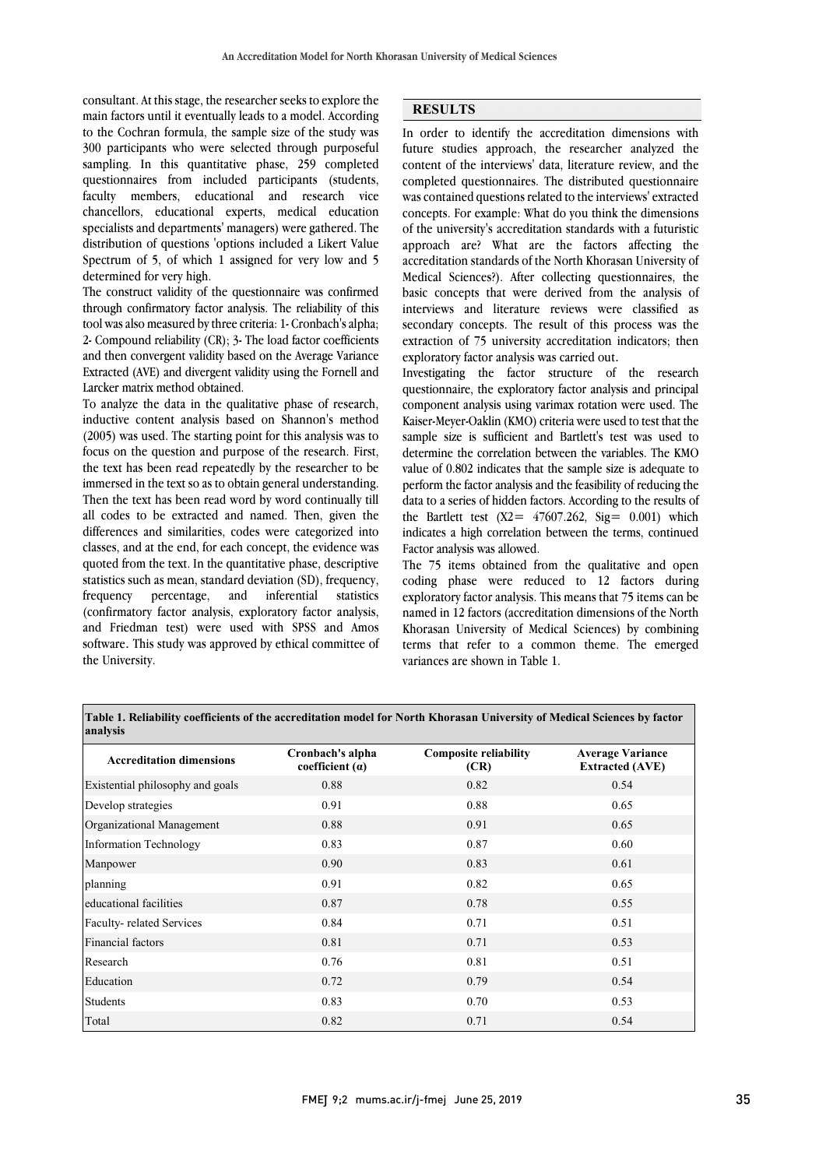main factors until it eventually leads to a model. According to the Cochran formula, the sample size of the study was 300 participants who were selected through purposeful sampling. In this quantitative phase, 259 completed faculty members, educational and research vice chancellors, educational experts, medical education specialists and departments' managers) were gathered. The distribution of questions 'options included a Likert Value Spectrum of 5, of which 1 assigned for very low and 5 consultant. At this stage, the researcher seeks to explore the questionnaires from included participants (students, determined for very high.

The construct validity of the questionnaire was confirmed through confirmatory factor analysis. The reliability of this tool was also measured by three criteria: 1- Cronbach's alpha; and then convergent validity based on the Average Variance Extracted (AVE) and divergent validity using the Fornell and 2- Compound reliability (CR); 3- The load factor coefficients Larcker matrix method obtained.

 To analyze the data in the qualitative phase of research, (2005) was used. The starting point for this analysis was to focus on the question and purpose of the research. First, the text has been read repeatedly by the researcher to be immersed in the text so as to obtain general understanding. all codes to be extracted and named. Then, given the differences and similarities, codes were categorized into classes, and at the end, for each concept, the evidence was quoted from the text. In the quantitative phase, descriptive statistics (confirmatory factor analysis, exploratory factor analysis, and Friedman test) were used with SPSS and Amos software. This study was approved by ethical committee of inductive content analysis based on Shannon's method Then the text has been read word by word continually till statistics such as mean, standard deviation (SD), frequency, frequency percentage, and inferential the University.

## **RESULTS**

 In order to identify the accreditation dimensions with future studies approach, the researcher analyzed the content of the interviews' data, literature review, and the completed questionnaires. The distributed questionnaire concepts. For example: What do you think the dimensions of the university's accreditation standards with a futuristic approach are? What are the factors affecting the Medical Sciences?). After collecting questionnaires, the basic concepts that were derived from the analysis of interviews and literature reviews were classified as secondary concepts. The result of this process was the extraction of 75 university accreditation indicators; then was contained questions related to the interviews' extracted accreditation standards of the North Khorasan University of exploratory factor analysis was carried out.

 Investigating the factor structure of the research questionnaire, the exploratory factor analysis and principal component analysis using varimax rotation were used. The sample size is sufficient and Bartlett's test was used to determine the correlation between the variables. The KMO value of 0.802 indicates that the sample size is adequate to perform the factor analysis and the feasibility of reducing the data to a series of hidden factors. According to the results of indicates a high correlation between the terms, continued Kaiser-Meyer-Oaklin (KMO) criteria were used to test that the the Bartlett test  $(X2 = 47607.262, Sig = 0.001)$  which Factor analysis was allowed.

 The 75 items obtained from the qualitative and open exploratory factor analysis. This means that 75 items can be named in 12 factors (accreditation dimensions of the North Khorasan University of Medical Sciences) by combining terms that refer to a common theme. The emerged coding phase were reduced to 12 factors during variances are shown in Table 1.

| Table 1. Reliability coefficients of the accreditation model for North Khorasan University of Medical Sciences by factor<br>analysis |                                       |                                      |                                                   |  |  |
|--------------------------------------------------------------------------------------------------------------------------------------|---------------------------------------|--------------------------------------|---------------------------------------------------|--|--|
| <b>Accreditation dimensions</b>                                                                                                      | Cronbach's alpha<br>coefficient $(a)$ | <b>Composite reliability</b><br>(CR) | <b>Average Variance</b><br><b>Extracted (AVE)</b> |  |  |
| Existential philosophy and goals                                                                                                     | 0.88                                  | 0.82                                 | 0.54                                              |  |  |
| Develop strategies                                                                                                                   | 0.91                                  | 0.88                                 | 0.65                                              |  |  |
| Organizational Management                                                                                                            | 0.88                                  | 0.91                                 | 0.65                                              |  |  |
| Information Technology                                                                                                               | 0.83                                  | 0.87                                 | 0.60                                              |  |  |
| Manpower                                                                                                                             | 0.90                                  | 0.83                                 | 0.61                                              |  |  |
| planning                                                                                                                             | 0.91                                  | 0.82                                 | 0.65                                              |  |  |
| educational facilities                                                                                                               | 0.87                                  | 0.78                                 | 0.55                                              |  |  |
| Faculty-related Services                                                                                                             | 0.84                                  | 0.71                                 | 0.51                                              |  |  |
| Financial factors                                                                                                                    | 0.81                                  | 0.71                                 | 0.53                                              |  |  |
| Research                                                                                                                             | 0.76                                  | 0.81                                 | 0.51                                              |  |  |
| Education                                                                                                                            | 0.72                                  | 0.79                                 | 0.54                                              |  |  |
| <b>Students</b>                                                                                                                      | 0.83                                  | 0.70                                 | 0.53                                              |  |  |

 $\overline{\phantom{0}}$ 

Total 0.82 0.71 0.54

ׇ֚֡֡֡֬

Ī

l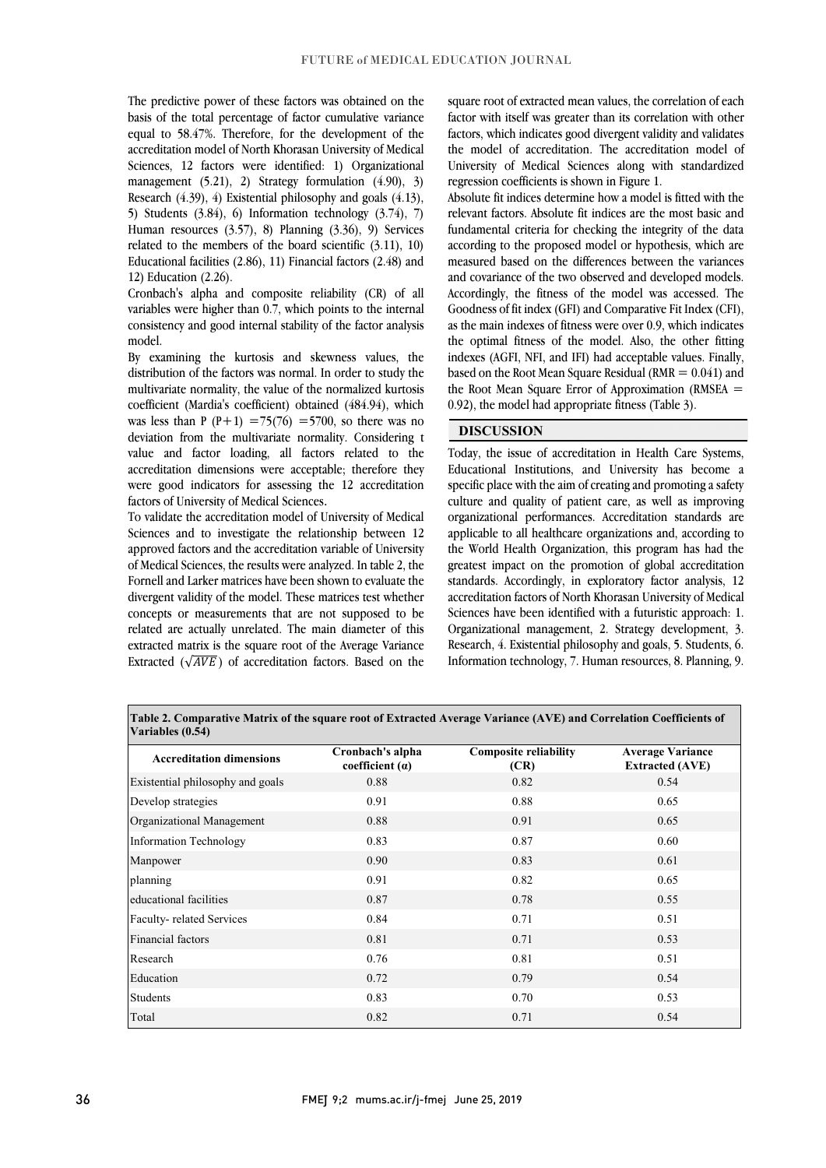The predictive power of these factors was obtained on the equal to 58.47%. Therefore, for the development of the accreditation model of North Khorasan University of Medical Sciences, 12 factors were identified: 1) Organizational management  $(5.21)$ , 2) Strategy formulation  $(4.90)$ , 3) 5) Students  $(3.84)$ , 6) Information technology  $(3.74)$ , 7) Human resources (3.57), 8) Planning (3.36), 9) Services related to the members of the board scientific (3.11), 10) Educational facilities (2.86), 11) Financial factors (2.48) and basis of the total percentage of factor cumulative variance Research (4.39), 4) Existential philosophy and goals (4.13), 12) Education (2.26).

 Cronbach's alpha and composite reliability (CR) of all variables were higher than 0.7, which points to the internal consistency and good internal stability of the factor analysis model.

 By examining the kurtosis and skewness values, the distribution of the factors was normal. In order to study the multivariate normality, the value of the normalized kurtosis coefficient (Mardia's coefficient) obtained (484.94), which was ress than  $1 + 1 = 75(70) = 5760$ , so there was no<br>deviation from the multivariate normality. Considering t value and factor loading, all factors related to the accreditation dimensions were acceptable; therefore they were good indicators for assessing the 12 accreditation was less than P (P+1) =75(76) =5700, so there was no factors of University of Medical Sciences.

 To validate the accreditation model of University of Medical Sciences and to investigate the relationship between 12 approved factors and the accreditation variable of University of Medical Sciences, the results were analyzed. In table 2, the divergent validity of the model. These matrices test whether concepts or measurements that are not supposed to be related are actually unrelated. The main diameter of this extracted matrix is the square root of the Average Variance Extracted ( $\sqrt{AVE}$ ) of accreditation factors. Based on the Fornell and Larker matrices have been shown to evaluate the square root of extracted mean values, the correlation of each<br>factor with itself was greater than its correlation with other factors, which indicates good divergent validity and validates the model of accreditation. The accreditation model of University of Medical Sciences along with standardized square root of extracted mean values, the correlation of each regression coefficients is shown in Figure 1.

 Absolute fit indices determine how a model is fitted with the relevant factors. Absolute fit indices are the most basic and fundamental criteria for checking the integrity of the data according to the proposed model or hypothesis, which are and covariance of the two observed and developed models. Accordingly, the fitness of the model was accessed. The Goodness of fit index (GFI) and Comparative Fit Index (CFI), as the main indexes of fitness were over 0.9, which indicates the optimal fitness of the model. Also, the other fitting based on the Root Mean Square Residual (RMR  $= 0.041$ ) and the Root Mean Square Error of Approximation (RMSEA = measured based on the differences between the variances indexes (AGFI, NFI, and IFI) had acceptable values. Finally, 0.92), the model had appropriate fitness (Table 3).

# **DISCUSSION**

 Today, the issue of accreditation in Health Care Systems, Educational Institutions, and University has become a specific place with the aim of creating and promoting a safety culture and quality of patient care, as well as improving applicable to all healthcare organizations and, according to the World Health Organization, this program has had the greatest impact on the promotion of global accreditation standards. Accordingly, in exploratory factor analysis, 12 Sciences have been identified with a futuristic approach: 1. Organizational management, 2. Strategy development, 3. Research, 4. Existential philosophy and goals, 5. Students, 6. Information technology, 7. Human resources, 8. Planning, 9. organizational performances. Accreditation standards are accreditation factors of North Khorasan University of Medical

> l I

j **Table 2. Comparative Matrix of the square root of Extracted Average Variance (AVE) and Correlation Coefficients of Variables (0.54)**

| <b>Accreditation dimensions</b>  | Cronbach's alpha<br>coefficient $(a)$ | <b>Composite reliability</b><br>(CR) | <b>Average Variance</b><br><b>Extracted (AVE)</b> |
|----------------------------------|---------------------------------------|--------------------------------------|---------------------------------------------------|
| Existential philosophy and goals | 0.88                                  | 0.82                                 | 0.54                                              |
| Develop strategies               | 0.91                                  | 0.88                                 | 0.65                                              |
| Organizational Management        | 0.88                                  | 0.91                                 | 0.65                                              |
| <b>Information Technology</b>    | 0.83                                  | 0.87                                 | 0.60                                              |
| Manpower                         | 0.90                                  | 0.83                                 | 0.61                                              |
| planning                         | 0.91                                  | 0.82                                 | 0.65                                              |
| educational facilities           | 0.87                                  | 0.78                                 | 0.55                                              |
| Faculty-related Services         | 0.84                                  | 0.71                                 | 0.51                                              |
| Financial factors                | 0.81                                  | 0.71                                 | 0.53                                              |
| Research                         | 0.76                                  | 0.81                                 | 0.51                                              |
| Education                        | 0.72                                  | 0.79                                 | 0.54                                              |
| Students                         | 0.83                                  | 0.70                                 | 0.53                                              |
| Total                            | 0.82                                  | 0.71                                 | 0.54                                              |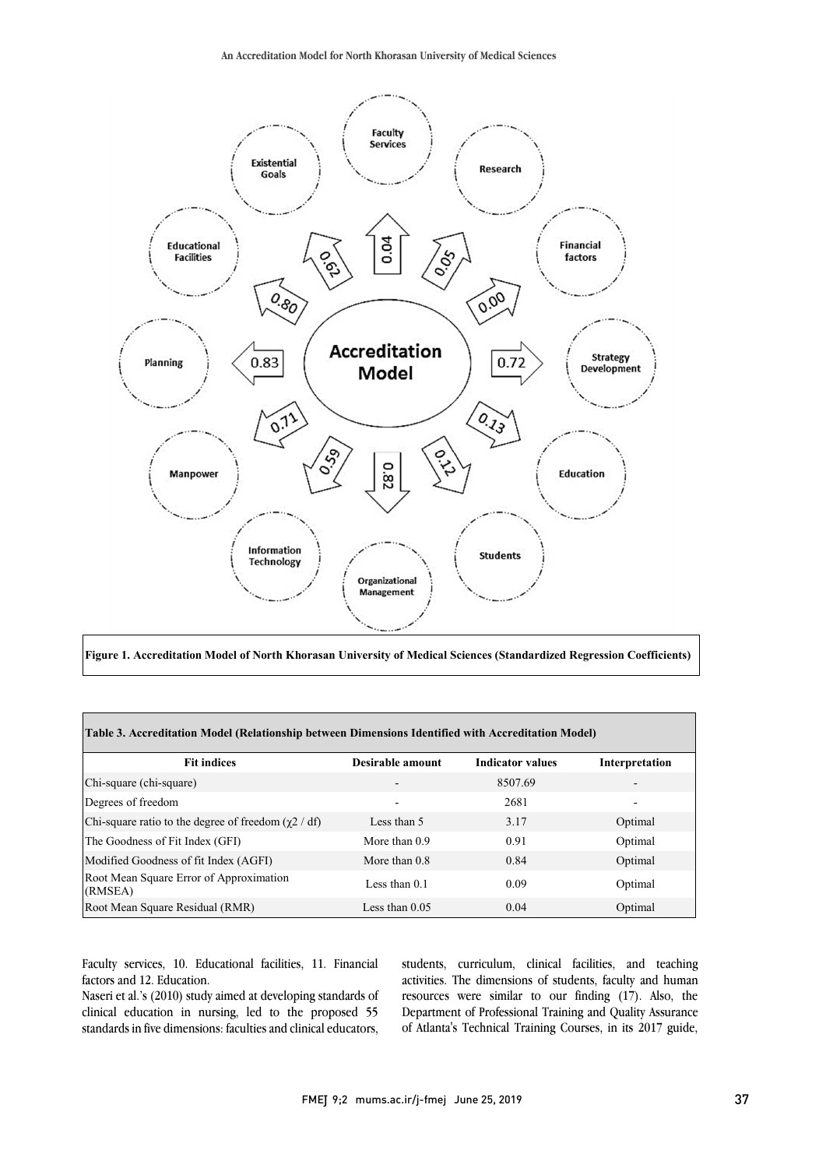

**Figure 1. Accreditation Model of North Khorasan University of Medical Sciences (Standardized Regression Coefficients)**

| Table 3. Accreditation Model (Relationship between Dimensions Identified with Accreditation Model) |                  |                         |                |  |  |  |
|----------------------------------------------------------------------------------------------------|------------------|-------------------------|----------------|--|--|--|
| <b>Fit indices</b>                                                                                 | Desirable amount | <b>Indicator values</b> | Interpretation |  |  |  |
| Chi-square (chi-square)                                                                            |                  | 8507.69                 |                |  |  |  |
| Degrees of freedom                                                                                 |                  | 2681                    |                |  |  |  |
| Chi-square ratio to the degree of freedom $(\gamma 2 / df)$                                        | Less than 5      | 3.17                    | Optimal        |  |  |  |
| The Goodness of Fit Index (GFI)                                                                    | More than $0.9$  | 0.91                    | Optimal        |  |  |  |
| Modified Goodness of fit Index (AGFI)                                                              | More than $0.8$  | 0.84                    | Optimal        |  |  |  |
| Root Mean Square Error of Approximation<br>(RMSEA)                                                 | Less than $0.1$  | 0.09                    | Optimal        |  |  |  |
| Root Mean Square Residual (RMR)                                                                    | Less than $0.05$ | 0.04                    | Optimal        |  |  |  |

Faculty services, 10. Educational facilities, 11. Financial factors and 12. Education.

Naseri et al.'s (2010) study aimed at developing standards of clinical education in nursing, led to the proposed 55 standards in five dimensions: faculties and clinical educators,

students, curriculum, clinical facilities, and teaching activities. The dimensions of students, faculty and human resources were similar to our finding (17). Also, the Department of Professional Training and Quality Assurance of Atlanta's Technical Training Courses, in its 2017 guide,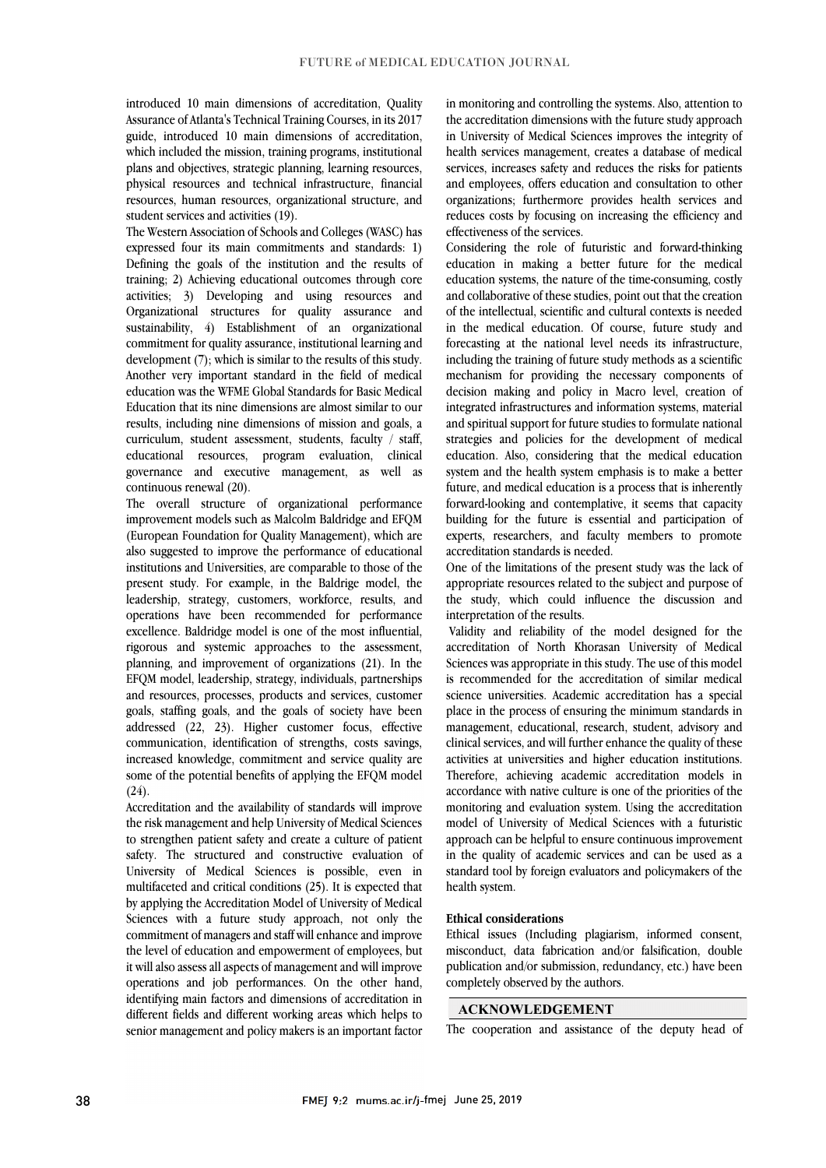introduced 10 main dimensions of accreditation, Quality Assurance of Atlanta's Technical Training Courses, in its 2017 guide, introduced 10 main dimensions of accreditation, which included the mission, training programs, institutional plans and objectives, strategic planning, learning resources, physical resources and technical infrastructure, financial resources, human resources, organizational structure, and student services and activities (19).

The Western Association of Schools and Colleges (WASC) has expressed four its main commitments and standards: 1) Defining the goals of the institution and the results of training; 2) Achieving educational outcomes through core activities; 3) Developing and using resources and Organizational structures for quality assurance and sustainability, 4) Establishment of an organizational commitment for quality assurance, institutional learning and development (7); which is similar to the results of this study. Another very important standard in the field of medical education was the WFME Global Standards for Basic Medical Education that its nine dimensions are almost similar to our results, including nine dimensions of mission and goals, a curriculum, student assessment, students, faculty / staff, educational resources, program evaluation, clinical governance and executive management, as well as continuous renewal (20).

The overall structure of organizational performance improvement models such as Malcolm Baldridge and EFQM (European Foundation for Quality Management), which are also suggested to improve the performance of educational institutions and Universities, are comparable to those of the present study. For example, in the Baldrige model, the leadership, strategy, customers, workforce, results, and operations have been recommended for performance excellence. Baldridge model is one of the most influential, rigorous and systemic approaches to the assessment, planning, and improvement of organizations (21). In the EFQM model, leadership, strategy, individuals, partnerships and resources, processes, products and services, customer goals, staffing goals, and the goals of society have been addressed (22, 23). Higher customer focus, effective communication, identification of strengths, costs savings, increased knowledge, commitment and service quality are some of the potential benefits of applying the EFQM model  $(24).$ 

Accreditation and the availability of standards will improve the risk management and help University of Medical Sciences to strengthen patient safety and create a culture of patient safety. The structured and constructive evaluation of University of Medical Sciences is possible, even in multifaceted and critical conditions (25). It is expected that by applying the Accreditation Model of University of Medical Sciences with a future study approach, not only the commitment of managers and staff will enhance and improve the level of education and empowerment of employees, but it will also assess all aspects of management and will improve operations and job performances. On the other hand, identifying main factors and dimensions of accreditation in different fields and different working areas which helps to senior management and policy makers is an important factor

in monitoring and controlling the systems. Also, attention to the accreditation dimensions with the future study approach in University of Medical Sciences improves the integrity of health services management, creates a database of medical services, increases safety and reduces the risks for patients and employees, offers education and consultation to other organizations; furthermore provides health services and reduces costs by focusing on increasing the efficiency and effectiveness of the services.

Considering the role of futuristic and forward-thinking education in making a better future for the medical education systems, the nature of the time-consuming, costly and collaborative of these studies, point out that the creation of the intellectual, scientific and cultural contexts is needed in the medical education. Of course, future study and forecasting at the national level needs its infrastructure, including the training of future study methods as a scientific mechanism for providing the necessary components of decision making and policy in Macro level, creation of integrated infrastructures and information systems, material and spiritual support for future studies to formulate national strategies and policies for the development of medical education. Also, considering that the medical education system and the health system emphasis is to make a better future, and medical education is a process that is inherently forward-looking and contemplative, it seems that capacity building for the future is essential and participation of experts, researchers, and faculty members to promote accreditation standards is needed.

One of the limitations of the present study was the lack of appropriate resources related to the subject and purpose of the study, which could influence the discussion and interpretation of the results.

Validity and reliability of the model designed for the accreditation of North Khorasan University of Medical Sciences was appropriate in this study. The use of this model is recommended for the accreditation of similar medical science universities. Academic accreditation has a special place in the process of ensuring the minimum standards in management, educational, research, student, advisory and clinical services, and will further enhance the quality of these activities at universities and higher education institutions. Therefore, achieving academic accreditation models in accordance with native culture is one of the priorities of the monitoring and evaluation system. Using the accreditation model of University of Medical Sciences with a futuristic approach can be helpful to ensure continuous improvement in the quality of academic services and can be used as a standard tool by foreign evaluators and policymakers of the health system.

### **Ethical considerations**

Ethical issues (Including plagiarism, informed consent, misconduct, data fabrication and/or falsification, double publication and/or submission, redundancy, etc.) have been completely observed by the authors.

# **ACKNOWLEDGEMENT**

The cooperation and assistance of the deputy head of